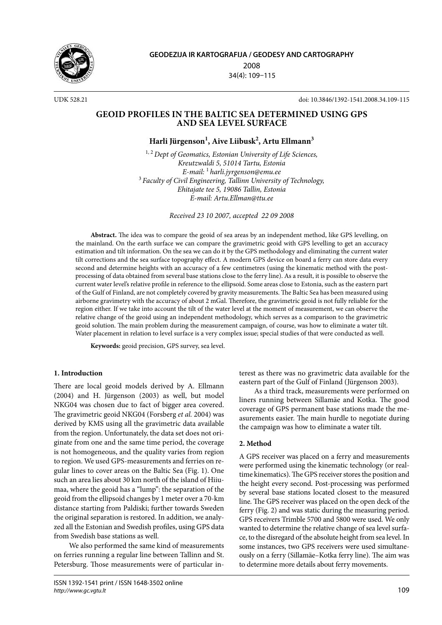

**GEODEZIJA IR KARTOGRAFIJA / GEODESY AND CARTOGRAPHY** 2008 34(4): 109–115

UDK 528.21 doi: 10.3846/1392-1541.2008.34.109-115

## **GEOID PROFILES IN THE BALTIC SEA DETERMINED USING GPS AND SEA LEVEL SURFACE**

# **Harli Jürgenson1 , Aive Liibusk2 , Artu Ellmann3**

1, 2 *Dept of Geomatics, Estonian University of Life Sciences, Kreutzwaldi 5, 51014 Tartu, Estonia E-mail:* <sup>1</sup>*harli.jyrgenson@emu.ee* <sup>3</sup>*Faculty of Civil Engineering, Tallinn University of Technology, Ehitajate tee 5, 19086 Tallin, Estonia E-mail: Artu.Ellman@ttu.ee*

*Received 23 10 2007, accepted 22 09 2008*

**Abstract.** The idea was to compare the geoid of sea areas by an independent method, like GPS levelling, on the mainland. On the earth surface we can compare the gravimetric geoid with GPS levelling to get an accuracy estimation and tilt information. On the sea we can do it by the GPS methodology and eliminating the current water tilt corrections and the sea surface topography effect. A modern GPS device on board a ferry can store data every second and determine heights with an accuracy of a few centimetres (using the kinematic method with the postprocessing of data obtained from several base stations close to the ferry line). As a result, it is possible to observe the current water level's relative profile in reference to the ellipsoid. Some areas close to Estonia, such as the eastern part of the Gulf of Finland, are not completely covered by gravity measurements. The Baltic Sea has been measured using airborne gravimetry with the accuracy of about 2 mGal. Therefore, the gravimetric geoid is not fully reliable for the region either. If we take into account the tilt of the water level at the moment of measurement, we can observe the relative change of the geoid using an independent methodology, which serves as a comparison to the gravimetric geoid solution. The main problem during the measurement campaign, of course, was how to eliminate a water tilt. Water placement in relation to level surface is a very complex issue; special studies of that were conducted as well.

**Keywords:** geoid precision, GPS survey, sea level.

#### **1. Introduction**

There are local geoid models derived by A. Ellmann (2004) and H. Jürgenson (2003) as well, but model NKG04 was chosen due to fact of bigger area covered. The gravimetric geoid NKG04 (Forsberg *et al.* 2004) was derived by KMS using all the gravimetric data available from the region. Unfortunately, the data set does not originate from one and the same time period, the coverage is not homogeneous, and the quality varies from region to region. We used GPS-measurements and ferries on regular lines to cover areas on the Baltic Sea (Fig. 1). One such an area lies about 30 km north of the island of Hiiumaa, where the geoid has a "lump": the separation of the geoid from the ellipsoid changes by 1 meter over a 70-km distance starting from Paldiski; further towards Sweden the original separation is restored. In addition, we analyzed all the Estonian and Swedish profiles, using GPS data from Swedish base stations as well.

We also performed the same kind of measurements on ferries running a regular line between Tallinn and St. Petersburg. Those measurements were of particular interest as there was no gravimetric data available for the eastern part of the Gulf of Finland (Jürgenson 2003).

As a third track, measurements were performed on liners running between Sillamäe and Kotka. The good coverage of GPS permanent base stations made the measurements easier. The main hurdle to negotiate during the campaign was how to eliminate a water tilt.

#### **2. Method**

A GPS receiver was placed on a ferry and measurements were performed using the kinematic technology (or realtime kinematics). The GPS receiver stores the position and the height every second. Post-processing was performed by several base stations located closest to the measured line. The GPS receiver was placed on the open deck of the ferry (Fig. 2) and was static during the measuring period. GPS receivers Trimble 5700 and 5800 were used. We only wanted to determine the relative change of sea level surface, to the disregard of the absolute height from sea level. In some instances, two GPS receivers were used simultaneously on a ferry (Sillamäe–Kotka ferry line). The aim was to determine more details about ferry movements.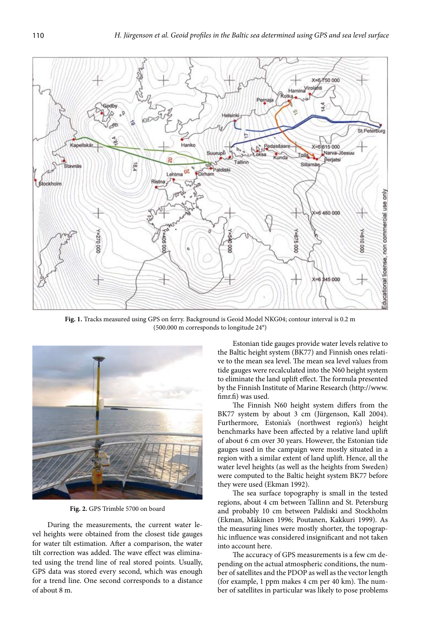

**Fig. 1.** Tracks measured using GPS on ferry. Background is Geoid Model NKG04; contour interval is 0.2 m (500.000 m corresponds to longitude 24°)



**Fig. 2.** GPS Trimble 5700 on board

During the measurements, the current water level heights were obtained from the closest tide gauges for water tilt estimation. After a comparison, the water tilt correction was added. The wave effect was eliminated using the trend line of real stored points. Usually, GPS data was stored every second, which was enough for a trend line. One second corresponds to a distance of about 8 m.

Estonian tide gauges provide water levels relative to the Baltic height system (BK77) and Finnish ones relative to the mean sea level. The mean sea level values from tide gauges were recalculated into the N60 height system to eliminate the land uplift effect. The formula presented by the Finnish Institute of Marine Research (http://www. fimr.fi) was used.

The Finnish N60 height system differs from the BK77 system by about 3 cm (Jürgenson, Kall 2004). Furthermore, Estonia's (northwest region's) height benchmarks have been affected by a relative land uplift of about 6 cm over 30 years. However, the Estonian tide gauges used in the campaign were mostly situated in a region with a similar extent of land uplift. Hence, all the water level heights (as well as the heights from Sweden) were computed to the Baltic height system BK77 before they were used (Ekman 1992).

The sea surface topography is small in the tested regions, about 4 cm between Tallinn and St. Petersburg and probably 10 cm between Paldiski and Stockholm (Ekman, Mäkinen 1996; Poutanen, Kakkuri 1999). As the measuring lines were mostly shorter, the topographic influence was considered insignificant and not taken into account here.

The accuracy of GPS measurements is a few cm depending on the actual atmospheric conditions, the number of satellites and the PDOP as well as the vector length (for example, 1 ppm makes 4 cm per 40 km). The number of satellites in particular was likely to pose problems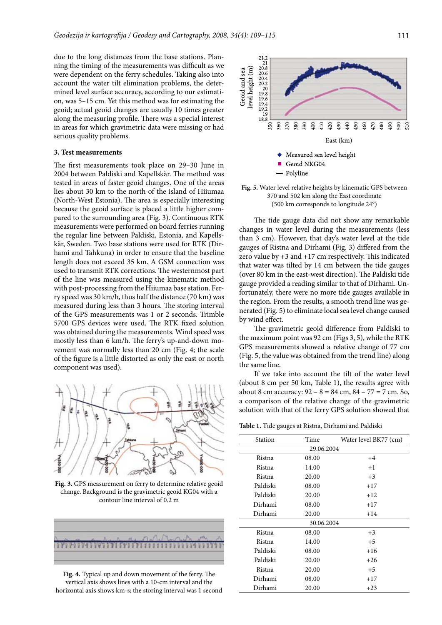due to the long distances from the base stations. Planning the timing of the measurements was difficult as we were dependent on the ferry schedules. Taking also into account the water tilt elimination problems, the determined level surface accuracy, according to our estimation, was 5–15 cm. Yet this method was for estimating the geoid; actual geoid changes are usually 10 times greater along the measuring profile. There was a special interest in areas for which gravimetric data were missing or had serious quality problems.

#### **3. Test measurements**

The first measurements took place on 29–30 June in 2004 between Paldiski and Kapellskär. The method was tested in areas of faster geoid changes. One of the areas lies about 30 km to the north of the island of Hiiumaa (North-West Estonia). The area is especially interesting because the geoid surface is placed a little higher compared to the surrounding area (Fig. 3). Continuous RTK measurements were performed on board ferries running the regular line between Paldiski, Estonia, and Kapellskär, Sweden. Two base stations were used for RTK (Dirhami and Tahkuna) in order to ensure that the baseline length does not exceed 35 km. A GSM connection was used to transmit RTK corrections. The westernmost part of the line was measured using the kinematic method with post-processing from the Hiiumaa base station. Ferry speed was 30 km/h, thus half the distance (70 km) was measured during less than 3 hours. The storing interval of the GPS measurements was 1 or 2 seconds. Trimble 5700 GPS devices were used. The RTK fixed solution was obtained during the measurements. Wind speed was mostly less than 6 km/h. The ferry's up-and-down movement was normally less than 20 cm (Fig. 4; the scale of the figure is a little distorted as only the east or north component was used).



**Fig. 3.** GPS measurement on ferry to determine relative geoid change. Background is the gravimetric geoid KG04 with a contour line interval of 0.2 m



**Fig. 4.** Typical up and down movement of the ferry. The vertical axis shows lines with a 10-cm interval and the horizontal axis shows km-s; the storing interval was 1 second



**Fig. 5.** Water level relative heights by kinematic GPS between 370 and 502 km along the East coordinate (500 km corresponds to longitude 24°)

The tide gauge data did not show any remarkable changes in water level during the measurements (less than 3 cm). However, that day's water level at the tide gauges of Ristna and Dirhami (Fig. 3) differed from the zero value by +3 and +17 cm respectively. This indicated that water was tilted by 14 cm between the tide gauges (over 80 km in the east-west direction). The Paldiski tide gauge provided a reading similar to that of Dirhami. Unfortunately, there were no more tide gauges available in the region. From the results, a smooth trend line was generated (Fig. 5) to eliminate local sea level change caused by wind effect.

The gravimetric geoid difference from Paldiski to the maximum point was 92 cm (Figs 3, 5), while the RTK GPS measurements showed a relative change of 77 cm (Fig. 5, the value was obtained from the trend line) along the same line.

If we take into account the tilt of the water level (about 8 cm per 50 km, Table 1), the results agree with about 8 cm accuracy:  $92 - 8 = 84$  cm,  $84 - 77 = 7$  cm. So, a comparison of the relative change of the gravimetric solution with that of the ferry GPS solution showed that

**Table 1.** Tide gauges at Ristna, Dirhami and Paldiski

| Station    | Time  | Water level BK77 (cm) |  |  |
|------------|-------|-----------------------|--|--|
| 29.06.2004 |       |                       |  |  |
| Ristna     | 08.00 | $+4$                  |  |  |
| Ristna     | 14.00 | $+1$                  |  |  |
| Ristna     | 20.00 | $+3$                  |  |  |
| Paldiski   | 08.00 | $+17$                 |  |  |
| Paldiski   | 20.00 | $+12$                 |  |  |
| Dirhami    | 08.00 | $+17$                 |  |  |
| Dirhami    | 20.00 | $+14$                 |  |  |
| 30.06.2004 |       |                       |  |  |
| Ristna     | 08.00 | $+3$                  |  |  |
| Ristna     | 14.00 | $+5$                  |  |  |
| Paldiski   | 08.00 | $+16$                 |  |  |
| Paldiski   | 20.00 | $+26$                 |  |  |
| Ristna     | 20.00 | $+5$                  |  |  |
| Dirhami    | 08.00 | $+17$                 |  |  |
| Dirhami    | 20.00 | $+23$                 |  |  |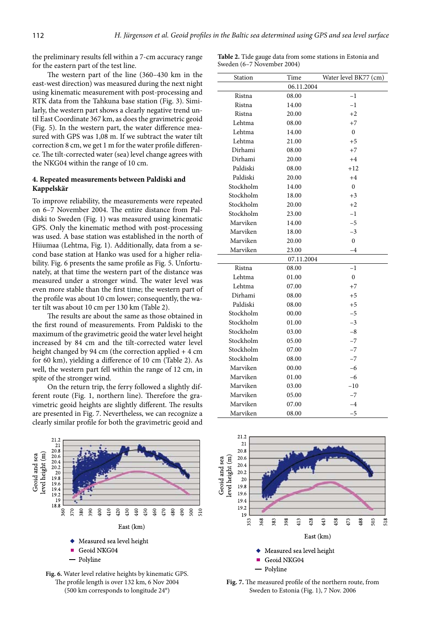the preliminary results fell within a 7-cm accuracy range for the eastern part of the test line.

The western part of the line (360–430 km in the east-west direction) was measured during the next night using kinematic measurement with post-processing and RTK data from the Tahkuna base station (Fig. 3). Similarly, the western part shows a clearly negative trend until East Coordinate 367 km, as does the gravimetric geoid (Fig. 5). In the western part, the water difference measured with GPS was 1,08 m. If we subtract the water tilt correction 8 cm, we get 1 m for the water profile difference. The tilt-corrected water (sea) level change agrees with the NKG04 within the range of 10 cm.

#### **4. Repeated measurements between Paldiski and Kappelskär**

To improve reliability, the measurements were repeated on 6–7 November 2004. The entire distance from Paldiski to Sweden (Fig. 1) was measured using kinematic GPS. Only the kinematic method with post-processing was used. A base station was established in the north of Hiiumaa (Lehtma, Fig. 1). Additionally, data from a second base station at Hanko was used for a higher reliability. Fig. 6 presents the same profile as Fig. 5. Unfortunately, at that time the western part of the distance was measured under a stronger wind. The water level was even more stable than the first time; the western part of the profile was about 10 cm lower; consequently, the water tilt was about 10 cm per 130 km (Table 2).

The results are about the same as those obtained in the first round of measurements. From Paldiski to the maximum of the gravimetric geoid the water level height increased by 84 cm and the tilt-corrected water level height changed by 94 cm (the correction applied + 4 cm for 60 km), yielding a difference of 10 cm (Table 2). As well, the western part fell within the range of 12 cm, in spite of the stronger wind.

On the return trip, the ferry followed a slightly different route (Fig. 1, northern line). Therefore the gravimetric geoid heights are slightly different. The results are presented in Fig. 7. Nevertheless, we can recognize a clearly similar profile for both the gravimetric geoid and





**Table 2.** Tide gauge data from some stations in Estonia and Sweden (6–7 November 2004)

| Station    | Time       | Water level BK77 (cm) |  |  |
|------------|------------|-----------------------|--|--|
|            | 06.11.2004 |                       |  |  |
| Ristna     | 08.00      | $-1$                  |  |  |
| Ristna     | 14.00      | $-1$                  |  |  |
| Ristna     | 20.00      | $+2$                  |  |  |
| Lehtma     | 08.00      | $+7$                  |  |  |
| Lehtma     | 14.00      | $\Omega$              |  |  |
| Lehtma     | 21.00      | $+5$                  |  |  |
| Dirhami    | 08.00      | $+7$                  |  |  |
| Dirhami    | 20.00      | $+4$                  |  |  |
| Paldiski   | 08.00      | $+12$                 |  |  |
| Paldiski   | 20.00      | $+4$                  |  |  |
| Stockholm  | 14.00      | $\Omega$              |  |  |
| Stockholm  | 18.00      | $+3$                  |  |  |
| Stockholm  | 20.00      | $+2$                  |  |  |
| Stockholm  | 23.00      | $-1$                  |  |  |
| Marviken   | 14.00      | $-5$                  |  |  |
| Marviken   | 18.00      | $-3$                  |  |  |
| Marviken   | 20.00      | $\Omega$              |  |  |
| Marviken   | 23.00      | $-4$                  |  |  |
| 07.11.2004 |            |                       |  |  |
| Ristna     | 08.00      | $-1$                  |  |  |
| Lehtma     | 01.00      | $\boldsymbol{0}$      |  |  |
| Lehtma     | 07.00      | $+7$                  |  |  |
| Dirhami    | 08.00      | $+5$                  |  |  |
| Paldiski   | 08.00      | $+5$                  |  |  |
| Stockholm  | 00.00      | $-5$                  |  |  |
| Stockholm  | 01.00      | $-3$                  |  |  |
| Stockholm  | 03.00      | $-8$                  |  |  |
| Stockholm  | 05.00      | $-7$                  |  |  |
| Stockholm  | 07.00      | $-7$                  |  |  |
| Stockholm  | 08.00      | $-7$                  |  |  |
| Marviken   | 00.00      | $-6$                  |  |  |
| Marviken   | 01.00      | $-6$                  |  |  |
| Marviken   | 03.00      | $-10$                 |  |  |
| Marviken   | 05.00      | $-7$                  |  |  |
| Marviken   | 07.00      | $-4$                  |  |  |
| Marviken   | 08.00      | $-5$                  |  |  |



**Fig. 7.** The measured profile of the northern route, from Sweden to Estonia (Fig. 1), 7 Nov. 2006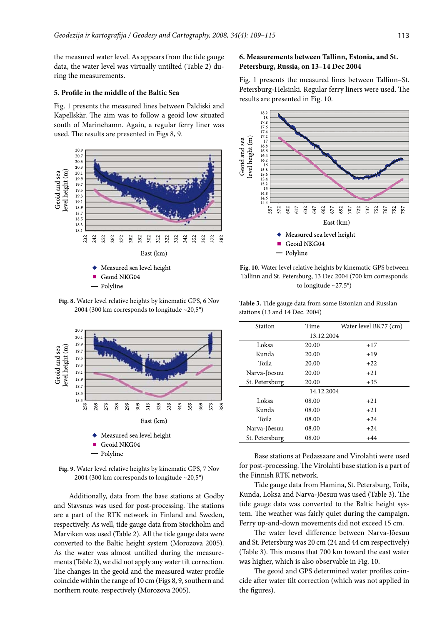the measured water level. As appears from the tide gauge data, the water level was virtually untilted (Table 2) during the measurements.

#### **5. Profile in the middle of the Baltic Sea**

Fig. 1 presents the measured lines between Paldiski and Kapellskär. The aim was to follow a geoid low situated south of Marinehamn. Again, a regular ferry liner was used. The results are presented in Figs 8, 9.



Geoid NKG04

Polyline

**Fig. 8.** Water level relative heights by kinematic GPS, 6 Nov 2004 (300 km corresponds to longitude ~20,5°)



- Polyline

**Fig. 9.** Water level relative heights by kinematic GPS, 7 Nov 2004 (300 km corresponds to longitude  $\sim$ 20,5°)

Additionally, data from the base stations at Godby and Stavsnas was used for post-processing. The stations are a part of the RTK network in Finland and Sweden, respectively. As well, tide gauge data from Stockholm and Marviken was used (Table 2). All the tide gauge data were converted to the Baltic height system (Morozova 2005). As the water was almost untilted during the measurements (Table 2), we did not apply any water tilt correction. The changes in the geoid and the measured water profile coincide within the range of 10 cm (Figs 8, 9, southern and northern route, respectively (Morozova 2005).

## **6. Measurements between Tallinn, Estonia, and St. Petersburg, Russia, on 13–14 Dec 2004**

Fig. 1 presents the measured lines between Tallinn–St. Petersburg-Helsinki. Regular ferry liners were used. The results are presented in Fig. 10.



**Fig. 10.** Water level relative heights by kinematic GPS between Tallinn and St. Petersburg, 13 Dec 2004 (700 km corresponds to longitude ~27.5°)

**Table 3.** Tide gauge data from some Estonian and Russian stations (13 and 14 Dec. 2004)

| Station        | Time  | Water level BK77 (cm) |  |  |
|----------------|-------|-----------------------|--|--|
| 13.12.2004     |       |                       |  |  |
| Loksa          | 20.00 | $+17$                 |  |  |
| Kunda          | 20.00 | $+19$                 |  |  |
| Toila          | 20.00 | $+22$                 |  |  |
| Narva-Jõesuu   | 20.00 | $+21$                 |  |  |
| St. Petersburg | 20.00 | $+35$                 |  |  |
| 14.12.2004     |       |                       |  |  |
| Loksa          | 08.00 | $+21$                 |  |  |
| Kunda          | 08.00 | $+21$                 |  |  |
| Toila          | 08.00 | $+24$                 |  |  |
| Narva-Jõesuu   | 08.00 | $+24$                 |  |  |
| St. Petersburg | 08.00 | $+44$                 |  |  |

Base stations at Pedassaare and Virolahti were used for post-processing. The Virolahti base station is a part of the Finnish RTK network.

Tide gauge data from Hamina, St. Petersburg, Toila, Kunda, Loksa and Narva-Jõesuu was used (Table 3). The tide gauge data was converted to the Baltic height system. The weather was fairly quiet during the campaign. Ferry up-and-down movements did not exceed 15 cm.

The water level difference between Narva-Jõesuu and St. Petersburg was 20 cm (24 and 44 cm respectively) (Table 3). This means that 700 km toward the east water was higher, which is also observable in Fig. 10.

The geoid and GPS determined water profiles coincide after water tilt correction (which was not applied in the figures).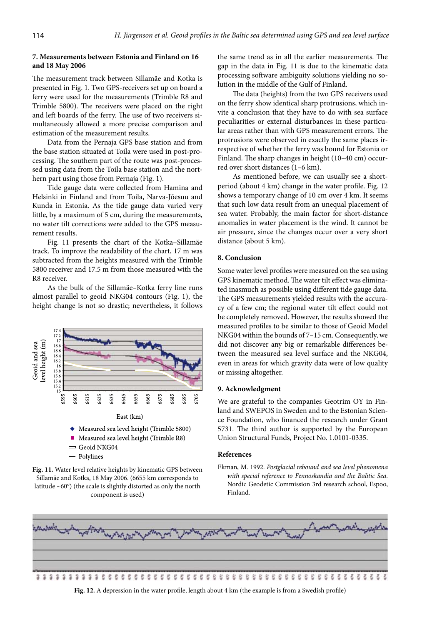## **7. Measurements between Estonia and Finland on 16 and 18 May 2006**

The measurement track between Sillamäe and Kotka is presented in Fig. 1. Two GPS-receivers set up on board a ferry were used for the measurements (Trimble R8 and Trimble 5800). The receivers were placed on the right and left boards of the ferry. The use of two receivers simultaneously allowed a more precise comparison and estimation of the measurement results.

Data from the Pernaja GPS base station and from the base station situated at Toila were used in post-processing. The southern part of the route was post-processed using data from the Toila base station and the northern part using those from Pernaja (Fig. 1).

Tide gauge data were collected from Hamina and Helsinki in Finland and from Toila, Narva-Jõesuu and Kunda in Estonia. As the tide gauge data varied very little, by a maximum of 5 cm, during the measurements, no water tilt corrections were added to the GPS measurement results.

Fig. 11 presents the chart of the Kotka–Sillamäe track. To improve the readability of the chart, 17 m was subtracted from the heights measured with the Trimble 5800 receiver and 17.5 m from those measured with the R8 receiver.

As the bulk of the Sillamäe–Kotka ferry line runs almost parallel to geoid NKG04 contours (Fig. 1), the height change is not so drastic; nevertheless, it follows



- Polylines

**Fig. 11.** Water level relative heights by kinematic GPS between Sillamäe and Kotka, 18 May 2006. (6655 km corresponds to latitude ~60°) (the scale is slightly distorted as only the north component is used)

the same trend as in all the earlier measurements. The gap in the data in Fig. 11 is due to the kinematic data processing software ambiguity solutions yielding no solution in the middle of the Gulf of Finland.

The data (heights) from the two GPS receivers used on the ferry show identical sharp protrusions, which invite a conclusion that they have to do with sea surface peculiarities or external disturbances in these particular areas rather than with GPS measurement errors. The protrusions were observed in exactly the same places irrespective of whether the ferry was bound for Estonia or Finland. The sharp changes in height (10–40 cm) occurred over short distances (1–6 km).

As mentioned before, we can usually see a shortperiod (about 4 km) change in the water profile. Fig. 12 shows a temporary change of 10 cm over 4 km. It seems that such low data result from an unequal placement of sea water. Probably, the main factor for short-distance anomalies in water placement is the wind. It cannot be air pressure, since the changes occur over a very short distance (about 5 km).

## **8. Conclusion**

Some water level profiles were measured on the sea using GPS kinematic method. The water tilt effect was eliminated inasmuch as possible using different tide gauge data. The GPS measurements yielded results with the accuracy of a few cm; the regional water tilt effect could not be completely removed. However, the results showed the measured profiles to be similar to those of Geoid Model NKG04 within the bounds of 7–15 cm. Consequently, we did not discover any big or remarkable differences between the measured sea level surface and the NKG04, even in areas for which gravity data were of low quality or missing altogether.

#### **9. Acknowledgment**

We are grateful to the companies Geotrim OY in Finland and SWEPOS in Sweden and to the Estonian Science Foundation, who financed the research under Grant 5731. The third author is supported by the European Union Structural Funds, Project No. 1.0101-0335.

### **References**

Ekman, M. 1992. *Postglacial rebound and sea level phenomena with special reference to Fennoskandia and the Balitic Sea*. Nordic Geodetic Commission 3rd research school, Espoo, Finland.



**Fig. 12.** A depression in the water profile, length about 4 km (the example is from a Swedish profile)